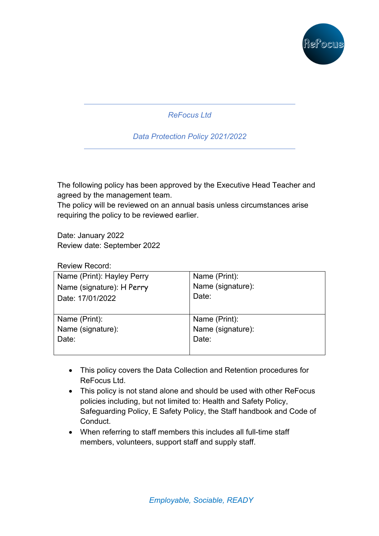

*ReFocus Ltd* 

*Data Protection Policy 2021/2022*

The following policy has been approved by the Executive Head Teacher and agreed by the management team.

The policy will be reviewed on an annual basis unless circumstances arise requiring the policy to be reviewed earlier.

Date: January 2022 Review date: September 2022

Review Record:

| Name (Print): Hayley Perry | Name (Print):     |
|----------------------------|-------------------|
| Name (signature): H Perry  | Name (signature): |
| Date: 17/01/2022           | Date:             |
|                            |                   |
| Name (Print):              | Name (Print):     |
| Name (signature):          | Name (signature): |
| Date:                      | Date:             |
|                            |                   |

- This policy covers the Data Collection and Retention procedures for ReFocus Ltd.
- This policy is not stand alone and should be used with other ReFocus policies including, but not limited to: Health and Safety Policy, Safeguarding Policy, E Safety Policy, the Staff handbook and Code of Conduct.
- When referring to staff members this includes all full-time staff members, volunteers, support staff and supply staff.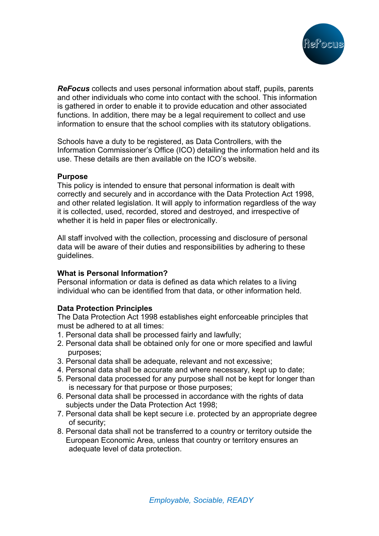

*ReFocus* collects and uses personal information about staff, pupils, parents and other individuals who come into contact with the school. This information is gathered in order to enable it to provide education and other associated functions. In addition, there may be a legal requirement to collect and use information to ensure that the school complies with its statutory obligations.

Schools have a duty to be registered, as Data Controllers, with the Information Commissioner's Office (ICO) detailing the information held and its use. These details are then available on the ICO's website.

### **Purpose**

This policy is intended to ensure that personal information is dealt with correctly and securely and in accordance with the Data Protection Act 1998, and other related legislation. It will apply to information regardless of the way it is collected, used, recorded, stored and destroyed, and irrespective of whether it is held in paper files or electronically.

All staff involved with the collection, processing and disclosure of personal data will be aware of their duties and responsibilities by adhering to these guidelines.

## **What is Personal Information?**

Personal information or data is defined as data which relates to a living individual who can be identified from that data, or other information held.

## **Data Protection Principles**

The Data Protection Act 1998 establishes eight enforceable principles that must be adhered to at all times:

- 1. Personal data shall be processed fairly and lawfully;
- 2. Personal data shall be obtained only for one or more specified and lawful purposes;
- 3. Personal data shall be adequate, relevant and not excessive;
- 4. Personal data shall be accurate and where necessary, kept up to date;
- 5. Personal data processed for any purpose shall not be kept for longer than is necessary for that purpose or those purposes;
- 6. Personal data shall be processed in accordance with the rights of data subjects under the Data Protection Act 1998;
- 7. Personal data shall be kept secure i.e. protected by an appropriate degree of security;
- 8. Personal data shall not be transferred to a country or territory outside the European Economic Area, unless that country or territory ensures an adequate level of data protection.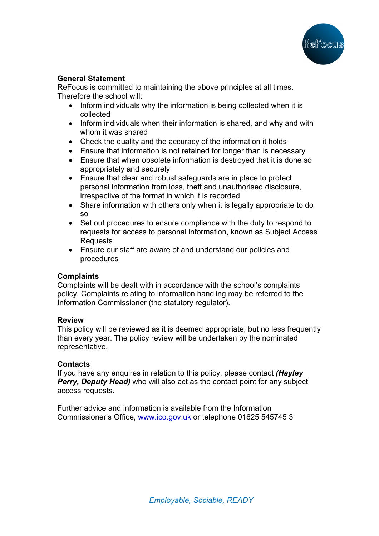

# **General Statement**

ReFocus is committed to maintaining the above principles at all times. Therefore the school will:

- Inform individuals why the information is being collected when it is collected
- Inform individuals when their information is shared, and why and with whom it was shared
- Check the quality and the accuracy of the information it holds
- Ensure that information is not retained for longer than is necessary
- Ensure that when obsolete information is destroyed that it is done so appropriately and securely
- Ensure that clear and robust safeguards are in place to protect personal information from loss, theft and unauthorised disclosure, irrespective of the format in which it is recorded
- Share information with others only when it is legally appropriate to do so
- Set out procedures to ensure compliance with the duty to respond to requests for access to personal information, known as Subject Access Requests
- Ensure our staff are aware of and understand our policies and procedures

## **Complaints**

Complaints will be dealt with in accordance with the school's complaints policy. Complaints relating to information handling may be referred to the Information Commissioner (the statutory regulator).

## **Review**

This policy will be reviewed as it is deemed appropriate, but no less frequently than every year. The policy review will be undertaken by the nominated representative.

## **Contacts**

If you have any enquires in relation to this policy, please contact *(Hayley Perry, Deputy Head)* who will also act as the contact point for any subject access requests.

Further advice and information is available from the Information Commissioner's Office, www.ico.gov.uk or telephone 01625 545745 3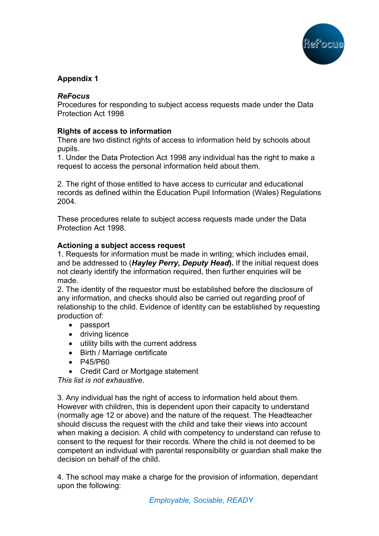

# **Appendix 1**

# *ReFocus*

Procedures for responding to subject access requests made under the Data Protection Act 1998

# **Rights of access to information**

There are two distinct rights of access to information held by schools about pupils.

1. Under the Data Protection Act 1998 any individual has the right to make a request to access the personal information held about them.

2. The right of those entitled to have access to curricular and educational records as defined within the Education Pupil Information (Wales) Regulations 2004.

These procedures relate to subject access requests made under the Data Protection Act 1998.

### **Actioning a subject access request**

1. Requests for information must be made in writing; which includes email, and be addressed to (*Hayley Perry, Deputy Head***).** If the initial request does not clearly identify the information required, then further enquiries will be made.

2. The identity of the requestor must be established before the disclosure of any information, and checks should also be carried out regarding proof of relationship to the child. Evidence of identity can be established by requesting production of:

- passport
- driving licence
- utility bills with the current address
- Birth / Marriage certificate
- P45/P60
- Credit Card or Mortgage statement

*This list is not exhaustive*.

3. Any individual has the right of access to information held about them. However with children, this is dependent upon their capacity to understand (normally age 12 or above) and the nature of the request. The Headteacher should discuss the request with the child and take their views into account when making a decision. A child with competency to understand can refuse to consent to the request for their records. Where the child is not deemed to be competent an individual with parental responsibility or guardian shall make the decision on behalf of the child.

4. The school may make a charge for the provision of information, dependant upon the following: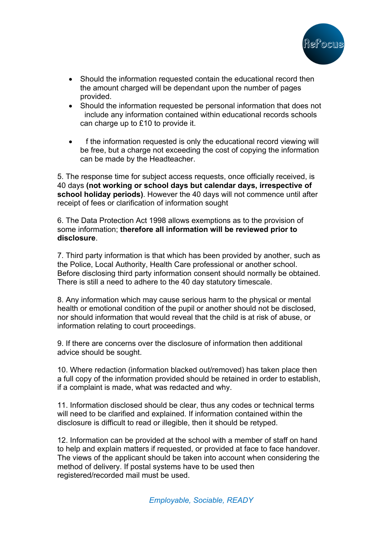

- Should the information requested contain the educational record then the amount charged will be dependant upon the number of pages provided.
- Should the information requested be personal information that does not include any information contained within educational records schools can charge up to £10 to provide it.
- f the information requested is only the educational record viewing will be free, but a charge not exceeding the cost of copying the information can be made by the Headteacher.

5. The response time for subject access requests, once officially received, is 40 days **(not working or school days but calendar days, irrespective of school holiday periods)**. However the 40 days will not commence until after receipt of fees or clarification of information sought

6. The Data Protection Act 1998 allows exemptions as to the provision of some information; **therefore all information will be reviewed prior to disclosure**.

7. Third party information is that which has been provided by another, such as the Police, Local Authority, Health Care professional or another school. Before disclosing third party information consent should normally be obtained. There is still a need to adhere to the 40 day statutory timescale.

8. Any information which may cause serious harm to the physical or mental health or emotional condition of the pupil or another should not be disclosed, nor should information that would reveal that the child is at risk of abuse, or information relating to court proceedings.

9. If there are concerns over the disclosure of information then additional advice should be sought.

10. Where redaction (information blacked out/removed) has taken place then a full copy of the information provided should be retained in order to establish, if a complaint is made, what was redacted and why.

11. Information disclosed should be clear, thus any codes or technical terms will need to be clarified and explained. If information contained within the disclosure is difficult to read or illegible, then it should be retyped.

12. Information can be provided at the school with a member of staff on hand to help and explain matters if requested, or provided at face to face handover. The views of the applicant should be taken into account when considering the method of delivery. If postal systems have to be used then registered/recorded mail must be used.